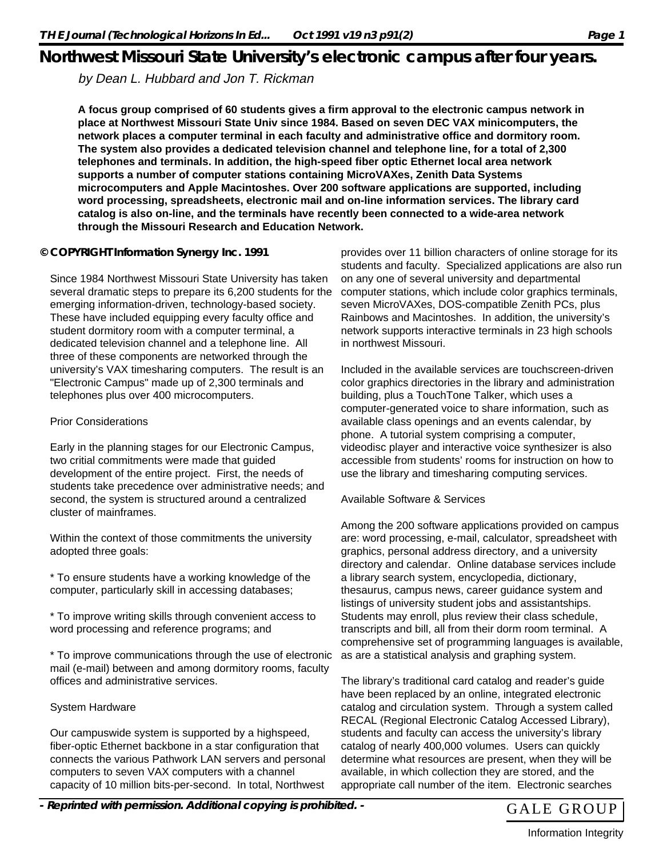# **Northwest Missouri State University's electronic campus after four years.**

by Dean L. Hubbard and Jon T. Rickman

**A focus group comprised of 60 students gives a firm approval to the electronic campus network in place at Northwest Missouri State Univ since 1984. Based on seven DEC VAX minicomputers, the network places a computer terminal in each faculty and administrative office and dormitory room. The system also provides a dedicated television channel and telephone line, for a total of 2,300 telephones and terminals. In addition, the high-speed fiber optic Ethernet local area network supports a number of computer stations containing MicroVAXes, Zenith Data Systems microcomputers and Apple Macintoshes. Over 200 software applications are supported, including word processing, spreadsheets, electronic mail and on-line information services. The library card catalog is also on-line, and the terminals have recently been connected to a wide-area network through the Missouri Research and Education Network.**

## **© COPYRIGHT Information Synergy Inc. 1991**

Since 1984 Northwest Missouri State University has taken several dramatic steps to prepare its 6,200 students for the emerging information-driven, technology-based society. These have included equipping every faculty office and student dormitory room with a computer terminal, a dedicated television channel and a telephone line. All three of these components are networked through the university's VAX timesharing computers. The result is an "Electronic Campus" made up of 2,300 terminals and telephones plus over 400 microcomputers.

### Prior Considerations

Early in the planning stages for our Electronic Campus, two critial commitments were made that guided development of the entire project. First, the needs of students take precedence over administrative needs; and second, the system is structured around a centralized cluster of mainframes.

Within the context of those commitments the university adopted three goals:

\* To ensure students have a working knowledge of the computer, particularly skill in accessing databases;

\* To improve writing skills through convenient access to word processing and reference programs; and

\* To improve communications through the use of electronic mail (e-mail) between and among dormitory rooms, faculty offices and administrative services.

## System Hardware

Our campuswide system is supported by a highspeed, fiber-optic Ethernet backbone in a star configuration that connects the various Pathwork LAN servers and personal computers to seven VAX computers with a channel capacity of 10 million bits-per-second. In total, Northwest

provides over 11 billion characters of online storage for its students and faculty. Specialized applications are also run on any one of several university and departmental computer stations, which include color graphics terminals, seven MicroVAXes, DOS-compatible Zenith PCs, plus Rainbows and Macintoshes. In addition, the university's network supports interactive terminals in 23 high schools in northwest Missouri.

Included in the available services are touchscreen-driven color graphics directories in the library and administration building, plus a TouchTone Talker, which uses a computer-generated voice to share information, such as available class openings and an events calendar, by phone. A tutorial system comprising a computer, videodisc player and interactive voice synthesizer is also accessible from students' rooms for instruction on how to use the library and timesharing computing services.

#### Available Software & Services

Among the 200 software applications provided on campus are: word processing, e-mail, calculator, spreadsheet with graphics, personal address directory, and a university directory and calendar. Online database services include a library search system, encyclopedia, dictionary, thesaurus, campus news, career guidance system and listings of university student jobs and assistantships. Students may enroll, plus review their class schedule, transcripts and bill, all from their dorm room terminal. A comprehensive set of programming languages is available, as are a statistical analysis and graphing system.

The library's traditional card catalog and reader's guide have been replaced by an online, integrated electronic catalog and circulation system. Through a system called RECAL (Regional Electronic Catalog Accessed Library), students and faculty can access the university's library catalog of nearly 400,000 volumes. Users can quickly determine what resources are present, when they will be available, in which collection they are stored, and the appropriate call number of the item. Electronic searches

- Reprinted with permission. Additional copying is prohibited. - GALE GROUP



Information Integrity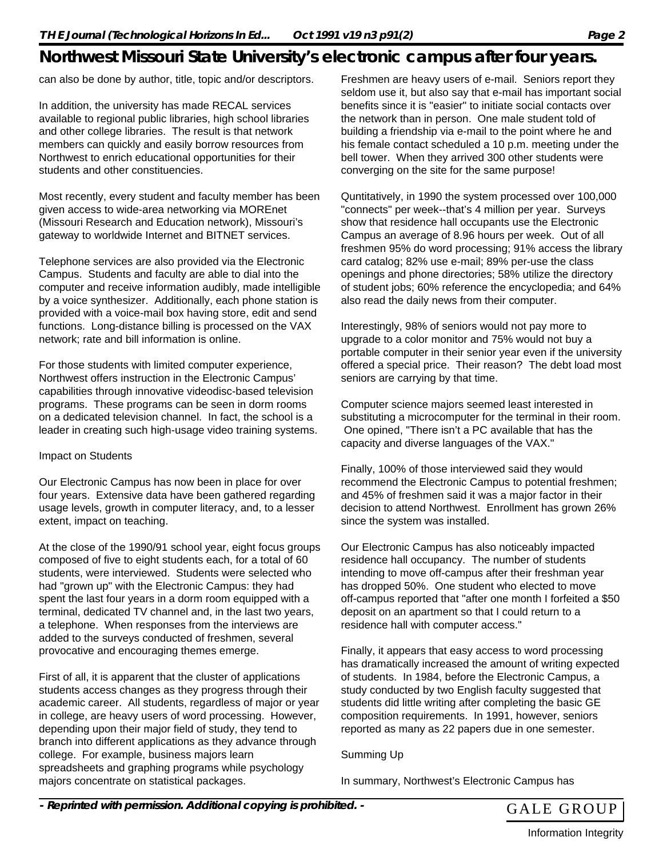# **Northwest Missouri State University's electronic campus after four years.**

can also be done by author, title, topic and/or descriptors.

In addition, the university has made RECAL services available to regional public libraries, high school libraries and other college libraries. The result is that network members can quickly and easily borrow resources from Northwest to enrich educational opportunities for their students and other constituencies.

Most recently, every student and faculty member has been given access to wide-area networking via MOREnet (Missouri Research and Education network), Missouri's gateway to worldwide Internet and BITNET services.

Telephone services are also provided via the Electronic Campus. Students and faculty are able to dial into the computer and receive information audibly, made intelligible by a voice synthesizer. Additionally, each phone station is provided with a voice-mail box having store, edit and send functions. Long-distance billing is processed on the VAX network; rate and bill information is online.

For those students with limited computer experience, Northwest offers instruction in the Electronic Campus' capabilities through innovative videodisc-based television programs. These programs can be seen in dorm rooms on a dedicated television channel. In fact, the school is a leader in creating such high-usage video training systems.

#### Impact on Students

Our Electronic Campus has now been in place for over four years. Extensive data have been gathered regarding usage levels, growth in computer literacy, and, to a lesser extent, impact on teaching.

At the close of the 1990/91 school year, eight focus groups composed of five to eight students each, for a total of 60 students, were interviewed. Students were selected who had "grown up" with the Electronic Campus: they had spent the last four years in a dorm room equipped with a terminal, dedicated TV channel and, in the last two years, a telephone. When responses from the interviews are added to the surveys conducted of freshmen, several provocative and encouraging themes emerge.

First of all, it is apparent that the cluster of applications students access changes as they progress through their academic career. All students, regardless of major or year in college, are heavy users of word processing. However, depending upon their major field of study, they tend to branch into different applications as they advance through college. For example, business majors learn spreadsheets and graphing programs while psychology majors concentrate on statistical packages.

Freshmen are heavy users of e-mail. Seniors report they seldom use it, but also say that e-mail has important social benefits since it is "easier" to initiate social contacts over the network than in person. One male student told of building a friendship via e-mail to the point where he and his female contact scheduled a 10 p.m. meeting under the bell tower. When they arrived 300 other students were converging on the site for the same purpose!

Quntitatively, in 1990 the system processed over 100,000 "connects" per week--that's 4 million per year. Surveys show that residence hall occupants use the Electronic Campus an average of 8.96 hours per week. Out of all freshmen 95% do word processing; 91% access the library card catalog; 82% use e-mail; 89% per-use the class openings and phone directories; 58% utilize the directory of student jobs; 60% reference the encyclopedia; and 64% also read the daily news from their computer.

Interestingly, 98% of seniors would not pay more to upgrade to a color monitor and 75% would not buy a portable computer in their senior year even if the university offered a special price. Their reason? The debt load most seniors are carrying by that time.

Computer science majors seemed least interested in substituting a microcomputer for the terminal in their room. One opined, "There isn't a PC available that has the capacity and diverse languages of the VAX."

Finally, 100% of those interviewed said they would recommend the Electronic Campus to potential freshmen; and 45% of freshmen said it was a major factor in their decision to attend Northwest. Enrollment has grown 26% since the system was installed.

Our Electronic Campus has also noticeably impacted residence hall occupancy. The number of students intending to move off-campus after their freshman year has dropped 50%. One student who elected to move off-campus reported that "after one month I forfeited a \$50 deposit on an apartment so that I could return to a residence hall with computer access."

Finally, it appears that easy access to word processing has dramatically increased the amount of writing expected of students. In 1984, before the Electronic Campus, a study conducted by two English faculty suggested that students did little writing after completing the basic GE composition requirements. In 1991, however, seniors reported as many as 22 papers due in one semester.

Summing Up

In summary, Northwest's Electronic Campus has



Information Integrity